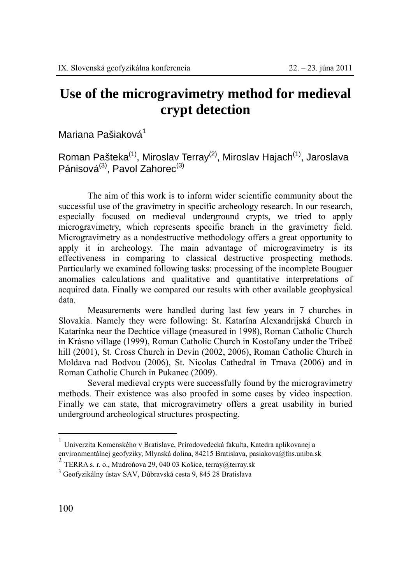## **Use of the microgravimetry method for medieval crypt detection**

Mariana Pašiaková<sup>1</sup>

Roman Pašteka<sup>(1)</sup>, Miroslav Terray<sup>(2)</sup>, Miroslav Hajach<sup>(1)</sup>, Jaroslava Pánisová $^{(3)}$ , Pavol Zahorec $^{(3)}$ 

The aim of this work is to inform wider scientific community about the successful use of the gravimetry in specific archeology research. In our research, especially focused on medieval underground crypts, we tried to apply microgravimetry, which represents specific branch in the gravimetry field. Microgravimetry as a nondestructive methodology offers a great opportunity to apply it in archeology. The main advantage of microgravimetry is its effectiveness in comparing to classical destructive prospecting methods. Particularly we examined following tasks: processing of the incomplete Bouguer anomalies calculations and qualitative and quantitative interpretations of acquired data. Finally we compared our results with other available geophysical data.

Measurements were handled during last few years in 7 churches in Slovakia. Namely they were following: St. Katarína Alexandrijská Church in Katarínka near the Dechtice village (measured in 1998), Roman Catholic Church in Krásno village (1999), Roman Catholic Church in Kostoľany under the Tríbeč hill (2001), St. Cross Church in Devín (2002, 2006), Roman Catholic Church in Moldava nad Bodvou (2006), St. Nicolas Cathedral in Trnava (2006) and in Roman Catholic Church in Pukanec (2009).

Several medieval crypts were successfully found by the microgravimetry methods. Their existence was also proofed in some cases by video inspection. Finally we can state, that microgravimetry offers a great usability in buried underground archeological structures prospecting.

 $\overline{a}$ 

<sup>1</sup> Univerzita Komenského v Bratislave, Prírodovedecká fakulta, Katedra aplikovanej a environmentálnej geofyziky, Mlynská dolina, 84215 Bratislava, pasiakova@fns.uniba.sk

<sup>&</sup>lt;sup>2</sup> TERRA s. r. o., Mudroňova 29, 040 03 Košice, terray@terray.sk <sup>3</sup> Geofyzikálny ústav SAV, Dúbravská cesta 9, 845 28 Bratislava